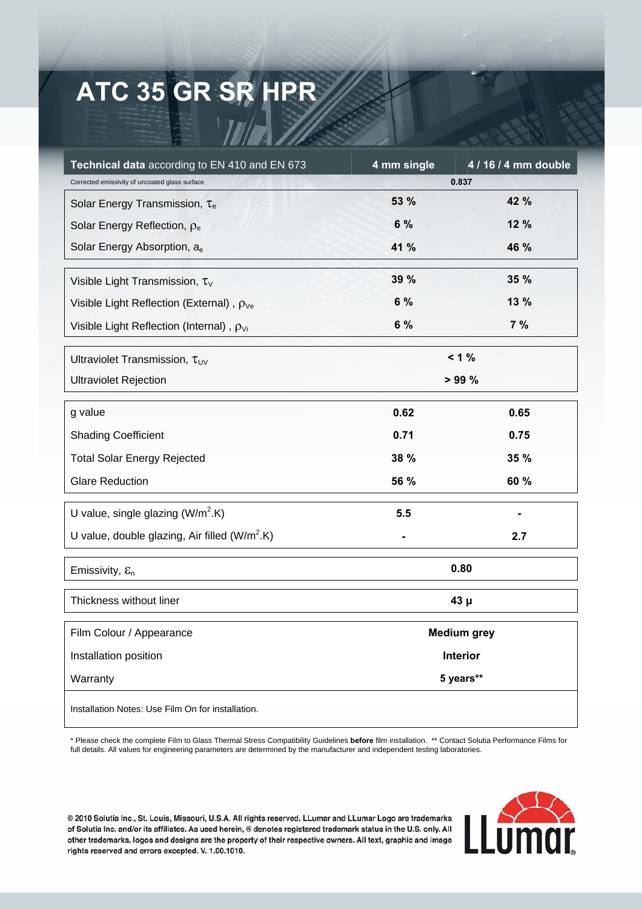## **ATC 35 GR SR HPR**

| Technical data according to EN 410 and EN 673        | 4 mm single        | 4 / 16 / 4 mm double |
|------------------------------------------------------|--------------------|----------------------|
| Corrected emissivity of uncoated glass surface       | 0.837              |                      |
| Solar Energy Transmission, $\tau_e$                  | 53 %               | 42 %                 |
| Solar Energy Reflection, $\rho_e$                    | 6 %                | 12 %                 |
| Solar Energy Absorption, a <sub>e</sub>              | 41 %               | 46 %                 |
| Visible Light Transmission, $\tau_{V}$               | 39 %               | 35 %                 |
| Visible Light Reflection (External), $\rho_{\vee e}$ | 6 %                | 13 %                 |
| Visible Light Reflection (Internal), $\rho_{Vi}$     | 6 %                | 7%                   |
| Ultraviolet Transmission, $\tau_{UV}$                | $< 1 \%$           |                      |
| <b>Ultraviolet Rejection</b>                         | >99%               |                      |
| g value                                              | 0.62               | 0.65                 |
| <b>Shading Coefficient</b>                           | 0.71               | 0.75                 |
| <b>Total Solar Energy Rejected</b>                   | 38 %               | 35 %                 |
| <b>Glare Reduction</b>                               | 56 %               | 60 %                 |
| U value, single glazing $(W/m^2.K)$                  | 5.5                |                      |
| U value, double glazing, Air filled $(W/m^2.K)$      |                    | 2.7                  |
| Emissivity, $\varepsilon_n$                          | 0.80               |                      |
| Thickness without liner                              | $43\mu$            |                      |
| Film Colour / Appearance                             | <b>Medium grey</b> |                      |
| Installation position                                | Interior           |                      |
| Warranty                                             | 5 years**          |                      |
| Installation Notes: Use Film On for installation.    |                    |                      |

\* Please check the complete Film to Glass Thermal Stress Compatibility Guidelines **before** film installation. \*\* Contact Solutia Performance Films for full details. All values for engineering parameters are determined by the manufacturer and independent testing laboratories.